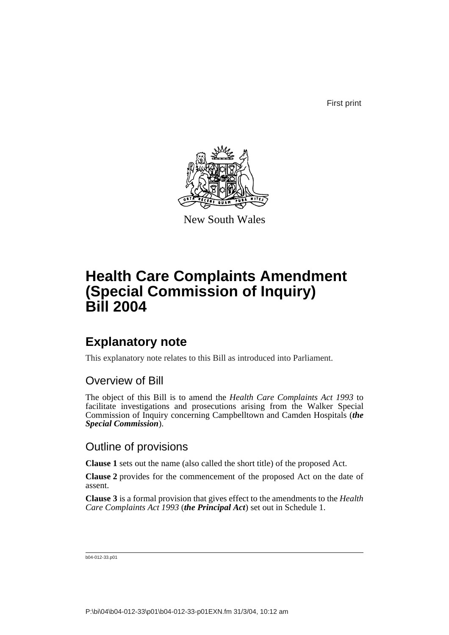First print



New South Wales

# **Health Care Complaints Amendment (Special Commission of Inquiry) Bill 2004**

## **Explanatory note**

This explanatory note relates to this Bill as introduced into Parliament.

### Overview of Bill

The object of this Bill is to amend the *Health Care Complaints Act 1993* to facilitate investigations and prosecutions arising from the Walker Special Commission of Inquiry concerning Campbelltown and Camden Hospitals (*the Special Commission*).

### Outline of provisions

**Clause 1** sets out the name (also called the short title) of the proposed Act.

**Clause 2** provides for the commencement of the proposed Act on the date of assent.

**Clause 3** is a formal provision that gives effect to the amendments to the *Health Care Complaints Act 1993* (*the Principal Act*) set out in Schedule 1.

b04-012-33.p01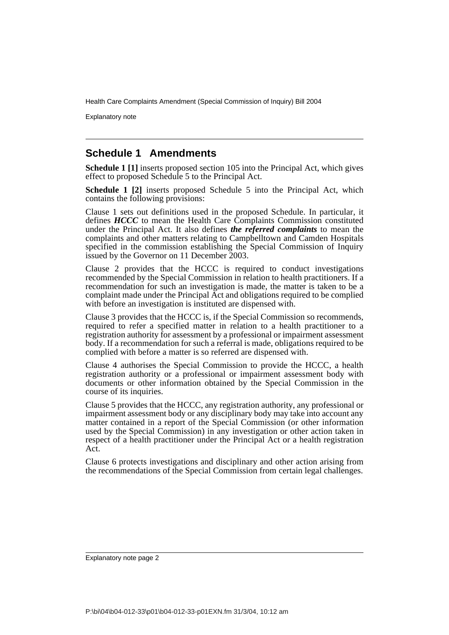Explanatory note

### **Schedule 1 Amendments**

**Schedule 1 [1]** inserts proposed section 105 into the Principal Act, which gives effect to proposed Schedule 5 to the Principal Act.

**Schedule 1 [2]** inserts proposed Schedule 5 into the Principal Act, which contains the following provisions:

Clause 1 sets out definitions used in the proposed Schedule. In particular, it defines *HCCC* to mean the Health Care Complaints Commission constituted under the Principal Act. It also defines *the referred complaints* to mean the complaints and other matters relating to Campbelltown and Camden Hospitals specified in the commission establishing the Special Commission of Inquiry issued by the Governor on 11 December 2003.

Clause 2 provides that the HCCC is required to conduct investigations recommended by the Special Commission in relation to health practitioners. If a recommendation for such an investigation is made, the matter is taken to be a complaint made under the Principal Act and obligations required to be complied with before an investigation is instituted are dispensed with.

Clause 3 provides that the HCCC is, if the Special Commission so recommends, required to refer a specified matter in relation to a health practitioner to a registration authority for assessment by a professional or impairment assessment body. If a recommendation for such a referral is made, obligations required to be complied with before a matter is so referred are dispensed with.

Clause 4 authorises the Special Commission to provide the HCCC, a health registration authority or a professional or impairment assessment body with documents or other information obtained by the Special Commission in the course of its inquiries.

Clause 5 provides that the HCCC, any registration authority, any professional or impairment assessment body or any disciplinary body may take into account any matter contained in a report of the Special Commission (or other information used by the Special Commission) in any investigation or other action taken in respect of a health practitioner under the Principal Act or a health registration Act.

Clause 6 protects investigations and disciplinary and other action arising from the recommendations of the Special Commission from certain legal challenges.

Explanatory note page 2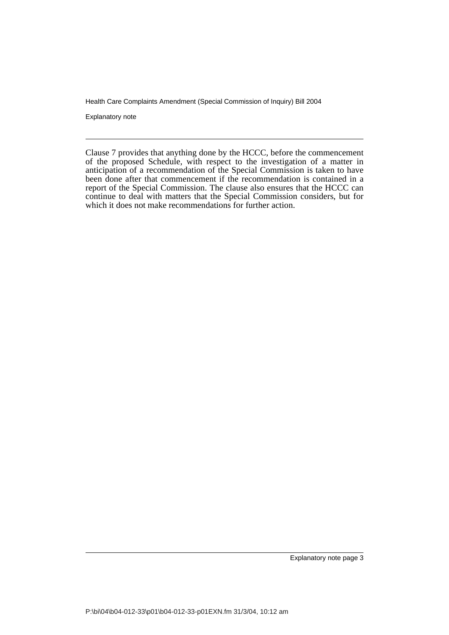Explanatory note

Clause 7 provides that anything done by the HCCC, before the commencement of the proposed Schedule, with respect to the investigation of a matter in anticipation of a recommendation of the Special Commission is taken to have been done after that commencement if the recommendation is contained in a report of the Special Commission. The clause also ensures that the HCCC can continue to deal with matters that the Special Commission considers, but for which it does not make recommendations for further action.

Explanatory note page 3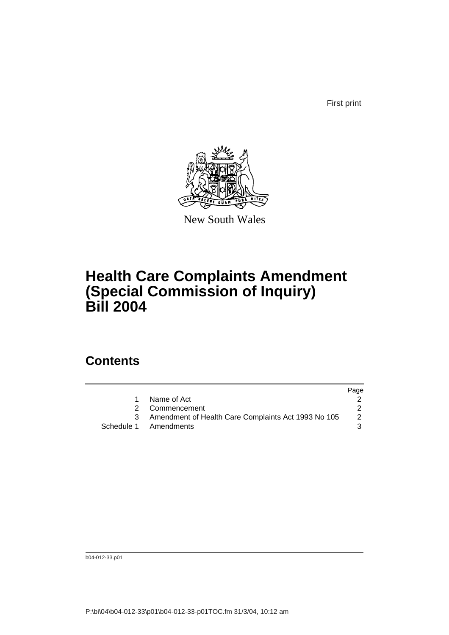First print



New South Wales

# **Health Care Complaints Amendment (Special Commission of Inquiry) Bill 2004**

## **Contents**

|                                                     | Page |
|-----------------------------------------------------|------|
| Name of Act                                         |      |
| 2 Commencement                                      |      |
| Amendment of Health Care Complaints Act 1993 No 105 | 2    |
| Schedule 1 Amendments                               |      |

b04-012-33.p01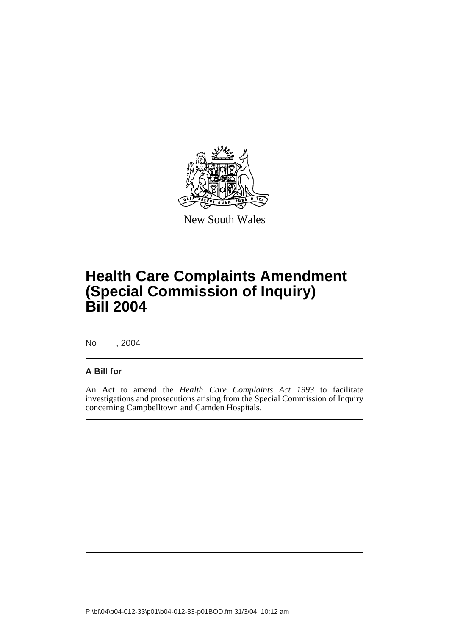

New South Wales

## **Health Care Complaints Amendment (Special Commission of Inquiry) Bill 2004**

No , 2004

#### **A Bill for**

An Act to amend the *Health Care Complaints Act 1993* to facilitate investigations and prosecutions arising from the Special Commission of Inquiry concerning Campbelltown and Camden Hospitals.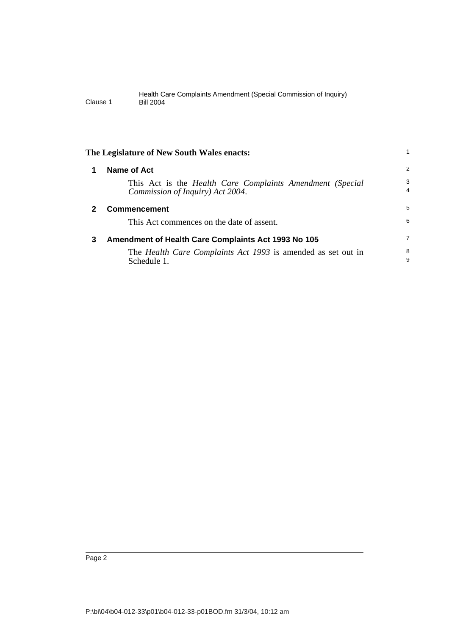<span id="page-5-2"></span><span id="page-5-1"></span><span id="page-5-0"></span>

|              | The Legislature of New South Wales enacts:                                                    |                     |
|--------------|-----------------------------------------------------------------------------------------------|---------------------|
| 1            | Name of Act                                                                                   | 2                   |
|              | This Act is the Health Care Complaints Amendment (Special<br>Commission of Inquiry) Act 2004. | 3<br>$\overline{4}$ |
| $\mathbf{2}$ | <b>Commencement</b>                                                                           | 5                   |
|              | This Act commences on the date of assent.                                                     | 6                   |
| 3            | Amendment of Health Care Complaints Act 1993 No 105                                           | 7                   |
|              | The Health Care Complaints Act 1993 is amended as set out in<br>Schedule 1.                   | 8<br>9              |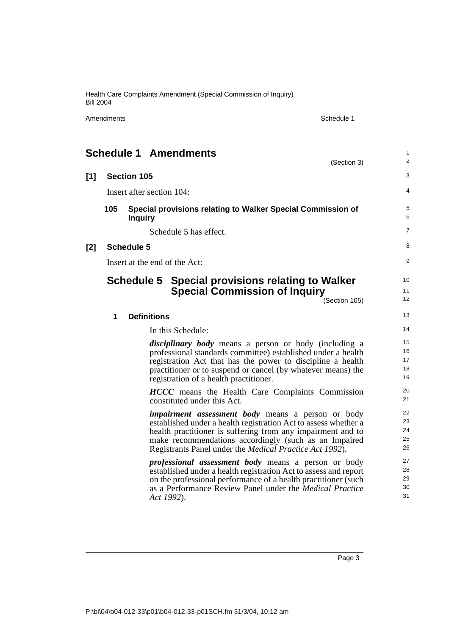Amendments Schedule 1

 $\ddot{\phantom{0}}$ 

J.

<span id="page-6-0"></span>

|       |     | <b>Schedule 1 Amendments</b><br>(Section 3)                                                                                                                                                                                                                                                                            | 1<br>2                     |
|-------|-----|------------------------------------------------------------------------------------------------------------------------------------------------------------------------------------------------------------------------------------------------------------------------------------------------------------------------|----------------------------|
| $[1]$ |     | <b>Section 105</b>                                                                                                                                                                                                                                                                                                     | 3                          |
|       |     | Insert after section 104:                                                                                                                                                                                                                                                                                              | 4                          |
|       | 105 | Special provisions relating to Walker Special Commission of<br><b>Inquiry</b>                                                                                                                                                                                                                                          | 5<br>6                     |
|       |     | Schedule 5 has effect.                                                                                                                                                                                                                                                                                                 | $\overline{7}$             |
| $[2]$ |     | <b>Schedule 5</b>                                                                                                                                                                                                                                                                                                      | 8                          |
|       |     | Insert at the end of the Act:                                                                                                                                                                                                                                                                                          | 9                          |
|       |     | Schedule 5 Special provisions relating to Walker<br><b>Special Commission of Inquiry</b><br>(Section 105)                                                                                                                                                                                                              | 10<br>11<br>12             |
|       | 1   | <b>Definitions</b>                                                                                                                                                                                                                                                                                                     | 13                         |
|       |     | In this Schedule:                                                                                                                                                                                                                                                                                                      | 14                         |
|       |     | <i>disciplinary body</i> means a person or body (including a<br>professional standards committee) established under a health<br>registration Act that has the power to discipline a health<br>practitioner or to suspend or cancel (by whatever means) the<br>registration of a health practitioner.                   | 15<br>16<br>17<br>18<br>19 |
|       |     | <b>HCCC</b> means the Health Care Complaints Commission<br>constituted under this Act.                                                                                                                                                                                                                                 | 20<br>21                   |
|       |     | <i>impairment assessment body</i> means a person or body<br>established under a health registration Act to assess whether a<br>health practitioner is suffering from any impairment and to<br>make recommendations accordingly (such as an Impaired<br>Registrants Panel under the <i>Medical Practice Act 1992</i> ). | 22<br>23<br>24<br>25<br>26 |
|       |     | <i>professional assessment body</i> means a person or body<br>established under a health registration Act to assess and report<br>on the professional performance of a health practitioner (such<br>as a Performance Review Panel under the <i>Medical Practice</i><br>Act 1992).                                      | 27<br>28<br>29<br>30<br>31 |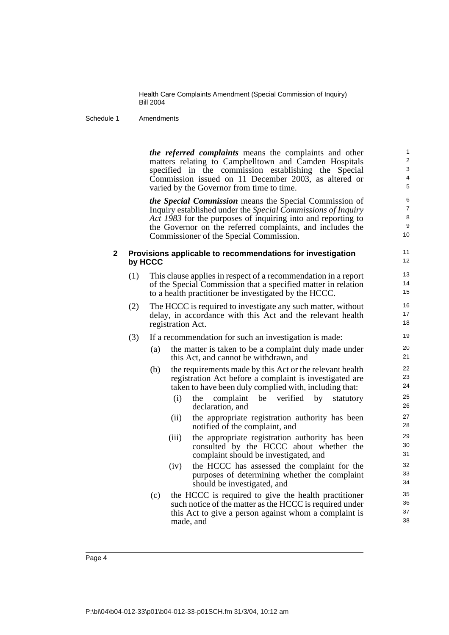Schedule 1 Amendments

*the referred complaints* means the complaints and other matters relating to Campbelltown and Camden Hospitals specified in the commission establishing the Special Commission issued on 11 December 2003, as altered or varied by the Governor from time to time.

*the Special Commission* means the Special Commission of Inquiry established under the *Special Commissions of Inquiry Act 1983* for the purposes of inquiring into and reporting to the Governor on the referred complaints, and includes the Commissioner of the Special Commission.

#### **2 Provisions applicable to recommendations for investigation by HCCC**

- (1) This clause applies in respect of a recommendation in a report of the Special Commission that a specified matter in relation to a health practitioner be investigated by the HCCC.
- (2) The HCCC is required to investigate any such matter, without delay, in accordance with this Act and the relevant health registration Act.
- (3) If a recommendation for such an investigation is made:
	- (a) the matter is taken to be a complaint duly made under this Act, and cannot be withdrawn, and
	- (b) the requirements made by this Act or the relevant health registration Act before a complaint is investigated are taken to have been duly complied with, including that:
		- (i) the complaint be verified by statutory declaration, and
		- (ii) the appropriate registration authority has been notified of the complaint, and
		- (iii) the appropriate registration authority has been consulted by the HCCC about whether the complaint should be investigated, and
		- (iv) the HCCC has assessed the complaint for the purposes of determining whether the complaint should be investigated, and
	- (c) the HCCC is required to give the health practitioner such notice of the matter as the HCCC is required under this Act to give a person against whom a complaint is made, and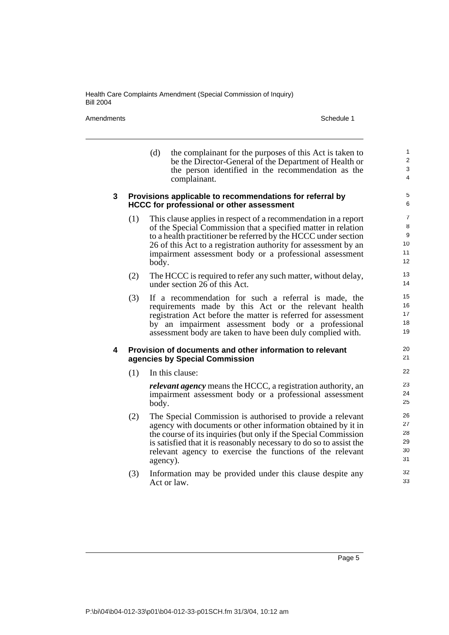Amendments Schedule 1

|   |                                                                                                              | (d)      | the complainant for the purposes of this Act is taken to<br>be the Director-General of the Department of Health or<br>the person identified in the recommendation as the<br>complainant.                                                                                                                                          | $\mathbf{1}$<br>2<br>3<br>4                |
|---|--------------------------------------------------------------------------------------------------------------|----------|-----------------------------------------------------------------------------------------------------------------------------------------------------------------------------------------------------------------------------------------------------------------------------------------------------------------------------------|--------------------------------------------|
| 3 | Provisions applicable to recommendations for referral by<br><b>HCCC for professional or other assessment</b> |          |                                                                                                                                                                                                                                                                                                                                   |                                            |
|   | (1)                                                                                                          | body.    | This clause applies in respect of a recommendation in a report<br>of the Special Commission that a specified matter in relation<br>to a health practitioner be referred by the HCCC under section<br>26 of this Act to a registration authority for assessment by an<br>impairment assessment body or a professional assessment   | $\overline{7}$<br>8<br>9<br>10<br>11<br>12 |
|   | (2)                                                                                                          |          | The HCCC is required to refer any such matter, without delay,<br>under section 26 of this Act.                                                                                                                                                                                                                                    | 13<br>14                                   |
|   | (3)                                                                                                          |          | If a recommendation for such a referral is made, the<br>requirements made by this Act or the relevant health<br>registration Act before the matter is referred for assessment<br>by an impairment assessment body or a professional<br>assessment body are taken to have been duly complied with.                                 | 15<br>16<br>17<br>18<br>19                 |
| 4 |                                                                                                              |          | Provision of documents and other information to relevant<br>agencies by Special Commission                                                                                                                                                                                                                                        | 20<br>21                                   |
|   | (1)                                                                                                          |          | In this clause:                                                                                                                                                                                                                                                                                                                   | 22                                         |
|   |                                                                                                              | body.    | <i>relevant agency</i> means the HCCC, a registration authority, an<br>impairment assessment body or a professional assessment                                                                                                                                                                                                    | 23<br>24<br>25                             |
|   | (2)                                                                                                          | agency). | The Special Commission is authorised to provide a relevant<br>agency with documents or other information obtained by it in<br>the course of its inquiries (but only if the Special Commission<br>is satisfied that it is reasonably necessary to do so to assist the<br>relevant agency to exercise the functions of the relevant | 26<br>27<br>28<br>29<br>30<br>31           |
|   | (3)                                                                                                          |          | Information may be provided under this clause despite any<br>Act or law.                                                                                                                                                                                                                                                          | 32<br>33                                   |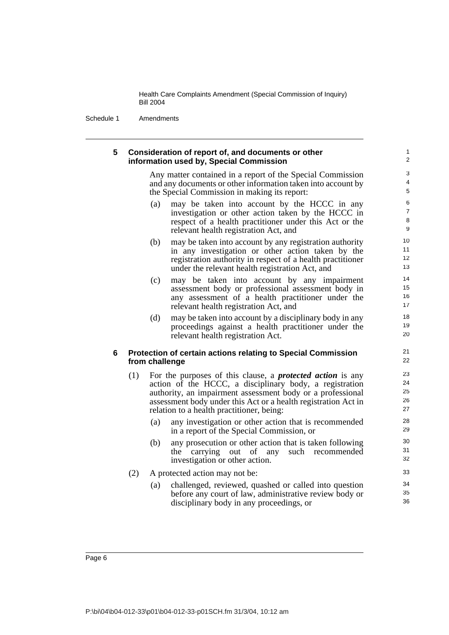Schedule 1 Amendments

#### **5 Consideration of report of, and documents or other information used by, Special Commission**

Any matter contained in a report of the Special Commission and any documents or other information taken into account by the Special Commission in making its report:

- (a) may be taken into account by the HCCC in any investigation or other action taken by the HCCC in respect of a health practitioner under this Act or the relevant health registration Act, and
- (b) may be taken into account by any registration authority in any investigation or other action taken by the registration authority in respect of a health practitioner under the relevant health registration Act, and
- (c) may be taken into account by any impairment assessment body or professional assessment body in any assessment of a health practitioner under the relevant health registration Act, and
- (d) may be taken into account by a disciplinary body in any proceedings against a health practitioner under the relevant health registration Act.

#### **6 Protection of certain actions relating to Special Commission from challenge**

- (1) For the purposes of this clause, a *protected action* is any action of the HCCC, a disciplinary body, a registration authority, an impairment assessment body or a professional assessment body under this Act or a health registration Act in relation to a health practitioner, being:
	- (a) any investigation or other action that is recommended in a report of the Special Commission, or
	- (b) any prosecution or other action that is taken following the carrying out of any such recommended investigation or other action.
- (2) A protected action may not be:
	- (a) challenged, reviewed, quashed or called into question before any court of law, administrative review body or disciplinary body in any proceedings, or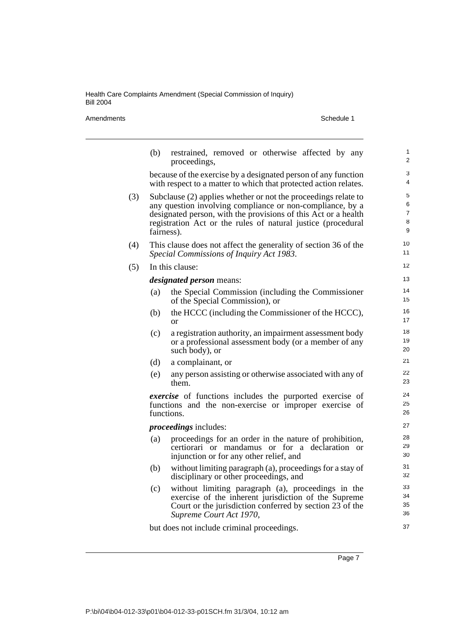Amendments Schedule 1

|     | (b)                                                                                                                                                                                                                                                                         | restrained, removed or otherwise affected by any<br>proceedings,                                                                                                                                  | 1<br>2               |
|-----|-----------------------------------------------------------------------------------------------------------------------------------------------------------------------------------------------------------------------------------------------------------------------------|---------------------------------------------------------------------------------------------------------------------------------------------------------------------------------------------------|----------------------|
|     | because of the exercise by a designated person of any function<br>with respect to a matter to which that protected action relates.                                                                                                                                          | 3<br>4                                                                                                                                                                                            |                      |
| (3) | Subclause (2) applies whether or not the proceedings relate to<br>any question involving compliance or non-compliance, by a<br>designated person, with the provisions of this Act or a health<br>registration Act or the rules of natural justice (procedural<br>fairness). | 5<br>6<br>$\overline{7}$<br>8<br>9                                                                                                                                                                |                      |
| (4) | This clause does not affect the generality of section 36 of the<br>Special Commissions of Inquiry Act 1983.                                                                                                                                                                 | 10<br>11                                                                                                                                                                                          |                      |
| (5) |                                                                                                                                                                                                                                                                             | In this clause:                                                                                                                                                                                   | 12                   |
|     |                                                                                                                                                                                                                                                                             | <i>designated person</i> means:                                                                                                                                                                   | 13                   |
|     | (a)                                                                                                                                                                                                                                                                         | the Special Commission (including the Commissioner<br>of the Special Commission), or                                                                                                              | 14<br>15             |
|     | (b)                                                                                                                                                                                                                                                                         | the HCCC (including the Commissioner of the HCCC),<br><b>or</b>                                                                                                                                   | 16<br>17             |
|     | (c)                                                                                                                                                                                                                                                                         | a registration authority, an impairment assessment body<br>or a professional assessment body (or a member of any<br>such body), or                                                                | 18<br>19<br>20       |
|     | (d)                                                                                                                                                                                                                                                                         | a complainant, or                                                                                                                                                                                 | 21                   |
|     | (e)                                                                                                                                                                                                                                                                         | any person assisting or otherwise associated with any of<br>them.                                                                                                                                 | 22<br>23             |
|     |                                                                                                                                                                                                                                                                             | <i>exercise</i> of functions includes the purported exercise of<br>functions and the non-exercise or improper exercise of<br>functions.                                                           | 24<br>25<br>26       |
|     |                                                                                                                                                                                                                                                                             | <i>proceedings</i> includes:                                                                                                                                                                      | 27                   |
|     | (a)                                                                                                                                                                                                                                                                         | proceedings for an order in the nature of prohibition,<br>certiorari or mandamus or for a declaration or<br>injunction or for any other relief, and                                               | 28<br>29<br>30       |
|     | (b)                                                                                                                                                                                                                                                                         | without limiting paragraph (a), proceedings for a stay of<br>disciplinary or other proceedings, and                                                                                               | 31<br>32             |
|     | (c)                                                                                                                                                                                                                                                                         | without limiting paragraph (a), proceedings in the<br>exercise of the inherent jurisdiction of the Supreme<br>Court or the jurisdiction conferred by section 23 of the<br>Supreme Court Act 1970, | 33<br>34<br>35<br>36 |
|     |                                                                                                                                                                                                                                                                             | but does not include criminal proceedings.                                                                                                                                                        | 37                   |